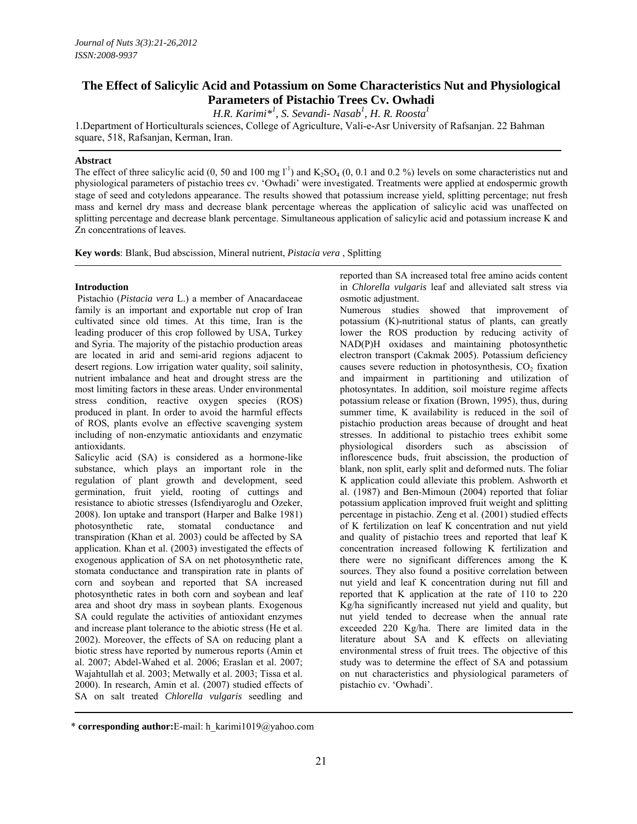# **The Effect of Salicylic Acid and Potassium on Some Characteristics Nut and Physiological Parameters of Pistachio Trees Cv. Owhadi**

*H.R. Karimi\*1 , S. Sevandi- Nasab<sup>1</sup> , H. R. Roosta1*

1.Department of Horticulturals sciences, College of Agriculture, Vali-e-Asr University of Rafsanjan. 22 Bahman square, 518, Rafsanjan, Kerman, Iran.

## **Abstract**

The effect of three salicylic acid (0, 50 and 100 mg  $I^{-1}$ ) and  $K_2SO_4$  (0, 0.1 and 0.2 %) levels on some characteristics nut and physiological parameters of pistachio trees cv. 'Owhadi' were investigated. Treatments were applied at endospermic growth stage of seed and cotyledons appearance. The results showed that potassium increase yield, splitting percentage; nut fresh mass and kernel dry mass and decrease blank percentage whereas the application of salicylic acid was unaffected on splitting percentage and decrease blank percentage. Simultaneous application of salicylic acid and potassium increase K and Zn concentrations of leaves.

**Key words**: Blank, Bud abscission, Mineral nutrient, *Pistacia vera* , Splitting

## **Introduction**

 Pistachio (*Pistacia vera* L.) a member of Anacardaceae family is an important and exportable nut crop of Iran cultivated since old times. At this time, Iran is the leading producer of this crop followed by USA, Turkey and Syria. The majority of the pistachio production areas are located in arid and semi-arid regions adjacent to desert regions. Low irrigation water quality, soil salinity, nutrient imbalance and heat and drought stress are the most limiting factors in these areas. Under environmental stress condition, reactive oxygen species (ROS) produced in plant. In order to avoid the harmful effects of ROS, plants evolve an effective scavenging system including of non-enzymatic antioxidants and enzymatic antioxidants.

Salicylic acid (SA) is considered as a hormone-like substance, which plays an important role in the regulation of plant growth and development, seed germination, fruit yield, rooting of cuttings and resistance to abiotic stresses (Isfendiyaroglu and Ozeker, 2008). Ion uptake and transport (Harper and Balke 1981) photosynthetic rate, stomatal conductance and transpiration (Khan et al. 2003) could be affected by SA application. Khan et al. (2003) investigated the effects of exogenous application of SA on net photosynthetic rate, stomata conductance and transpiration rate in plants of corn and soybean and reported that SA increased photosynthetic rates in both corn and soybean and leaf area and shoot dry mass in soybean plants. Exogenous SA could regulate the activities of antioxidant enzymes and increase plant tolerance to the abiotic stress (He et al. 2002). Moreover, the effects of SA on reducing plant a biotic stress have reported by numerous reports (Amin et al. 2007; Abdel-Wahed et al. 2006; Eraslan et al. 2007; Wajahtullah et al. 2003; Metwally et al. 2003; Tissa et al. 2000). In research, Amin et al. (2007) studied effects of SA on salt treated *Chlorella vulgaris* seedling and

reported than SA increased total free amino acids content in *Chlorella vulgaris* leaf and alleviated salt stress via osmotic adjustment.

Numerous studies showed that improvement of potassium (K)-nutritional status of plants, can greatly lower the ROS production by reducing activity of NAD(P)H oxidases and maintaining photosynthetic electron transport (Cakmak 2005). Potassium deficiency causes severe reduction in photosynthesis,  $CO<sub>2</sub>$  fixation and impairment in partitioning and utilization of photosyntates. In addition, soil moisture regime affects potassium release or fixation (Brown, 1995), thus, during summer time, K availability is reduced in the soil of pistachio production areas because of drought and heat stresses. In additional to pistachio trees exhibit some physiological disorders such as abscission of inflorescence buds, fruit abscission, the production of blank, non split, early split and deformed nuts. The foliar K application could alleviate this problem. Ashworth et al. (1987) and Ben-Mimoun (2004) reported that foliar potassium application improved fruit weight and splitting percentage in pistachio. Zeng et al. (2001) studied effects of K fertilization on leaf K concentration and nut yield and quality of pistachio trees and reported that leaf K concentration increased following K fertilization and there were no significant differences among the K sources. They also found a positive correlation between nut yield and leaf K concentration during nut fill and reported that K application at the rate of 110 to 220 Kg/ha significantly increased nut yield and quality, but nut yield tended to decrease when the annual rate exceeded 220 Kg/ha. There are limited data in the literature about SA and K effects on alleviating environmental stress of fruit trees. The objective of this study was to determine the effect of SA and potassium on nut characteristics and physiological parameters of pistachio cv. 'Owhadi'.

<sup>\*</sup> **corresponding author:**E-mail: h\_karimi1019@yahoo.com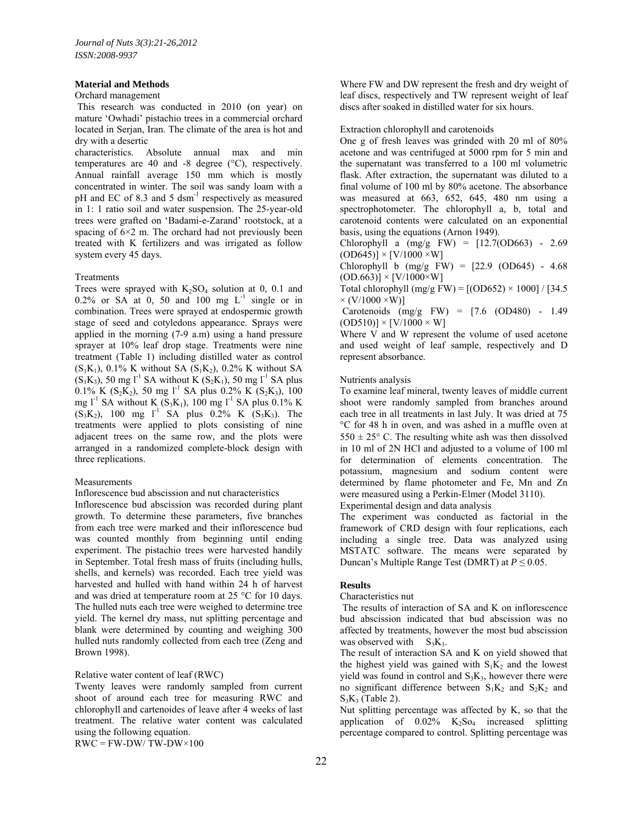#### **Material and Methods**

#### Orchard management

 This research was conducted in 2010 (on year) on mature 'Owhadi' pistachio trees in a commercial orchard located in Serjan, Iran. The climate of the area is hot and dry with a desertic

characteristics. Absolute annual max and min temperatures are 40 and -8 degree (°C), respectively. Annual rainfall average 150 mm which is mostly concentrated in winter. The soil was sandy loam with a pH and EC of 8.3 and 5 dsm<sup>-1</sup> respectively as measured in 1: 1 ratio soil and water suspension. The 25-year-old trees were grafted on 'Badami-e-Zarand' rootstock, at a spacing of  $6\times 2$  m. The orchard had not previously been treated with K fertilizers and was irrigated as follow system every 45 days.

#### Treatments

Trees were sprayed with  $K_2SO_4$  solution at 0, 0.1 and 0.2% or SA at 0, 50 and 100 mg  $L^{-1}$  single or in combination. Trees were sprayed at endospermic growth stage of seed and cotyledons appearance. Sprays were applied in the morning (7-9 a.m) using a hand pressure sprayer at 10% leaf drop stage. Treatments were nine treatment (Table 1) including distilled water as control  $(S_1K_1)$ , 0.1% K without SA  $(S_1K_2)$ , 0.2% K without SA  $(S_1K_3)$ , 50 mg l<sup>-1</sup> SA without K  $(S_2K_1)$ , 50 mg l<sup>-1</sup> SA plus  $0.1\%$  K (S<sub>2</sub>K<sub>2</sub>), 50 mg l<sup>-1</sup> SA plus 0.2% K (S<sub>2</sub>K<sub>3</sub>), 100 mg l<sup>-1</sup> SA without K (S<sub>3</sub>K<sub>1</sub>), 100 mg l<sup>-1</sup> SA plus 0.1% K  $(S_3K_2)$ , 100 mg l<sup>-1</sup> SA plus 0.2% K (S<sub>3</sub>K<sub>3</sub>). The treatments were applied to plots consisting of nine adjacent trees on the same row, and the plots were arranged in a randomized complete-block design with three replications.

## **Measurements**

Inflorescence bud abscission and nut characteristics

Inflorescence bud abscission was recorded during plant growth. To determine these parameters, five branches from each tree were marked and their inflorescence bud was counted monthly from beginning until ending experiment. The pistachio trees were harvested handily in September. Total fresh mass of fruits (including hulls, shells, and kernels) was recorded. Each tree yield was harvested and hulled with hand within 24 h of harvest and was dried at temperature room at 25 °C for 10 days. The hulled nuts each tree were weighed to determine tree yield. The kernel dry mass, nut splitting percentage and blank were determined by counting and weighing 300 hulled nuts randomly collected from each tree (Zeng and Brown 1998).

## Relative water content of leaf (RWC)

Twenty leaves were randomly sampled from current shoot of around each tree for measuring RWC and chlorophyll and cartenoides of leave after 4 weeks of last treatment. The relative water content was calculated using the following equation.

 $RWC = FW-DW/TW-DW\times100$ 

Where FW and DW represent the fresh and dry weight of leaf discs, respectively and TW represent weight of leaf discs after soaked in distilled water for six hours.

#### Extraction chlorophyll and carotenoids

One g of fresh leaves was grinded with 20 ml of 80% acetone and was centrifuged at 5000 rpm for 5 min and the supernatant was transferred to a 100 ml volumetric flask. After extraction, the supernatant was diluted to a final volume of 100 ml by 80% acetone. The absorbance was measured at 663, 652, 645, 480 nm using a spectrophotometer. The chlorophyll a, b, total and carotenoid contents were calculated on an exponential basis, using the equations (Arnon 1949).

Chlorophyll a  $(mg/g FW) = [12.7(OD663) - 2.69]$  $(OD645)] \times [V/1000 \times W]$ 

Chlorophyll b  $(mg/g FW) = [22.9 (OD645) - 4.68]$  $(OD.663)] \times [V/1000 \times W]$ 

Total chlorophyll (mg/g FW) =  $[(OD652) \times 1000] / [34.5$  $\times$  (V/1000  $\times$ W)]

 Carotenoids (mg/g FW) = [7.6 (OD480) - 1.49  $(OD510)] \times [V/1000 \times W]$ 

Where V and W represent the volume of used acetone and used weight of leaf sample, respectively and D represent absorbance.

#### Nutrients analysis

To examine leaf mineral, twenty leaves of middle current shoot were randomly sampled from branches around each tree in all treatments in last July. It was dried at 75 °C for 48 h in oven, and was ashed in a muffle oven at  $550 \pm 25$ ° C. The resulting white ash was then dissolved in 10 ml of 2N HCl and adjusted to a volume of 100 ml for determination of elements concentration. The potassium, magnesium and sodium content were determined by flame photometer and Fe, Mn and Zn were measured using a Perkin-Elmer (Model 3110).

Experimental design and data analysis

The experiment was conducted as factorial in the framework of CRD design with four replications, each including a single tree. Data was analyzed using MSTATC software. The means were separated by Duncan's Multiple Range Test (DMRT) at *P* ≤ 0.05.

## **Results**

Characteristics nut

The results of interaction of SA and K on inflorescence bud abscission indicated that bud abscission was no affected by treatments, however the most bud abscission was observed with  $S_3K_3$ .

The result of interaction SA and K on yield showed that the highest yield was gained with  $S_1K_2$  and the lowest yield was found in control and  $S_3K_3$ , however there were no significant difference between  $S_1K_2$  and  $S_2K_2$  and  $S_3K_3$  (Table 2).

Nut splitting percentage was affected by K, so that the application of  $0.02\%$  K<sub>2</sub>So<sub>4</sub> increased splitting percentage compared to control. Splitting percentage was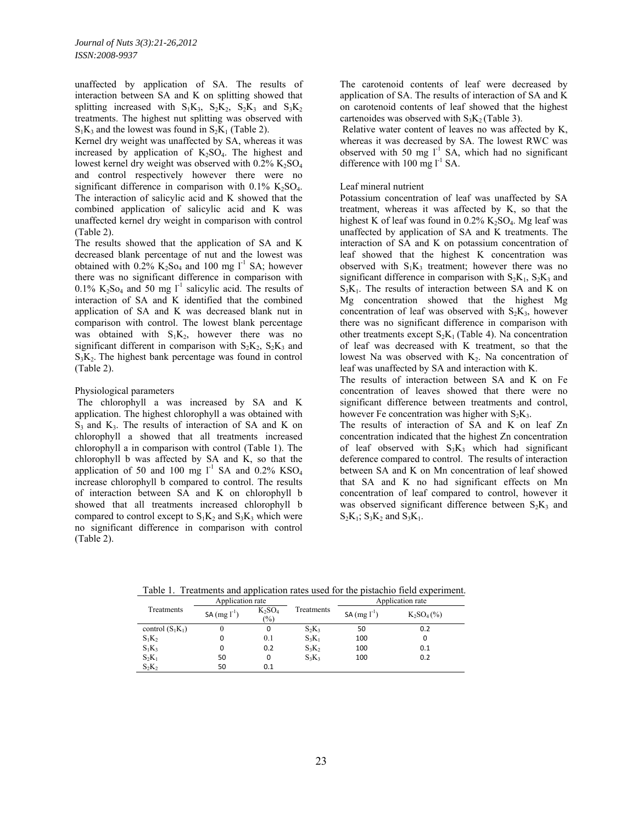unaffected by application of SA. The results of interaction between SA and K on splitting showed that splitting increased with  $S_1K_3$ ,  $S_2K_2$ ,  $S_2K_3$  and  $S_3K_2$ treatments. The highest nut splitting was observed with  $S_1K_3$  and the lowest was found in  $S_2K_1$  (Table 2).

Kernel dry weight was unaffected by SA, whereas it was increased by application of  $K_2SO_4$ . The highest and lowest kernel dry weight was observed with  $0.2\%$  K<sub>2</sub>SO<sub>4</sub> and control respectively however there were no significant difference in comparison with  $0.1\%$  K<sub>2</sub>SO<sub>4</sub>. The interaction of salicylic acid and K showed that the combined application of salicylic acid and K was unaffected kernel dry weight in comparison with control (Table 2).

The results showed that the application of SA and K decreased blank percentage of nut and the lowest was obtained with  $0.2\%$  K<sub>2</sub>S<sub>O4</sub> and 100 mg l<sup>-1</sup> SA; however there was no significant difference in comparison with  $0.1\%$  K<sub>2</sub>S<sub>O4</sub> and 50 mg l<sup>-1</sup> salicylic acid. The results of interaction of SA and K identified that the combined application of SA and K was decreased blank nut in comparison with control. The lowest blank percentage was obtained with  $S_1K_2$ , however there was no significant different in comparison with  $S_2K_2$ ,  $S_2K_3$  and  $S_3K_2$ . The highest bank percentage was found in control (Table 2).

## Physiological parameters

The chlorophyll a was increased by SA and K application. The highest chlorophyll a was obtained with  $S_3$  and  $K_3$ . The results of interaction of SA and K on chlorophyll a showed that all treatments increased chlorophyll a in comparison with control (Table 1). The chlorophyll b was affected by SA and K, so that the application of 50 and 100 mg  $1^{-1}$  SA and 0.2% KSO<sub>4</sub> increase chlorophyll b compared to control. The results of interaction between SA and K on chlorophyll b showed that all treatments increased chlorophyll b compared to control except to  $S_1K_2$  and  $S_3K_3$  which were no significant difference in comparison with control (Table 2).

The carotenoid contents of leaf were decreased by application of SA. The results of interaction of SA and K on carotenoid contents of leaf showed that the highest cartenoides was observed with  $S_3K_2$  (Table 3).

 Relative water content of leaves no was affected by K, whereas it was decreased by SA. The lowest RWC was observed with 50 mg  $l^{-1}$  SA, which had no significant difference with  $100 \text{ mg } l^{-1}$  SA.

## Leaf mineral nutrient

Potassium concentration of leaf was unaffected by SA treatment, whereas it was affected by K, so that the highest K of leaf was found in  $0.2\%$  K<sub>2</sub>SO<sub>4</sub>. Mg leaf was unaffected by application of SA and K treatments. The interaction of SA and K on potassium concentration of leaf showed that the highest K concentration was observed with  $S_1K_3$  treatment; however there was no significant difference in comparison with  $S_2K_1$ ,  $S_2K_3$  and  $S_3K_1$ . The results of interaction between SA and K on Mg concentration showed that the highest Mg concentration of leaf was observed with  $S_2K_3$ , however there was no significant difference in comparison with other treatments except  $S_2K_1$  (Table 4). Na concentration of leaf was decreased with K treatment, so that the lowest Na was observed with  $K_2$ . Na concentration of leaf was unaffected by SA and interaction with K.

The results of interaction between SA and K on Fe concentration of leaves showed that there were no significant difference between treatments and control, however Fe concentration was higher with  $S_2K_3$ .

The results of interaction of SA and K on leaf Zn concentration indicated that the highest Zn concentration of leaf observed with  $S_3K_3$  which had significant deference compared to control. The results of interaction between SA and K on Mn concentration of leaf showed that SA and K no had significant effects on Mn concentration of leaf compared to control, however it was observed significant difference between  $S_2K_3$  and  $S_2K_1$ ;  $S_3K_2$  and  $S_3K_1$ .

| Treatments         | Application rate |                     |            | Application rate    |              |
|--------------------|------------------|---------------------|------------|---------------------|--------------|
|                    | SA $(mg l-1)$    | $K_2SO_4$<br>$(\%)$ | Treatments | $SA$ (mg $l^{-1}$ ) | $K_2SO_4(%)$ |
| control $(S_1K_1)$ | 0                | 0                   | $S_2K_3$   | 50                  | 0.2          |
| $S_1K_2$           | 0                | 0.1                 | $S_3K_1$   | 100                 | 0            |
| $S_1K_3$           | 0                | 0.2                 | $S_3K_2$   | 100                 | 0.1          |
| $S_2K_1$           | 50               | 0                   | $S_3K_3$   | 100                 | 0.2          |
| $S_2K_2$           | 50               | 0.1                 |            |                     |              |

Table 1. Treatments and application rates used for the pistachio field experiment.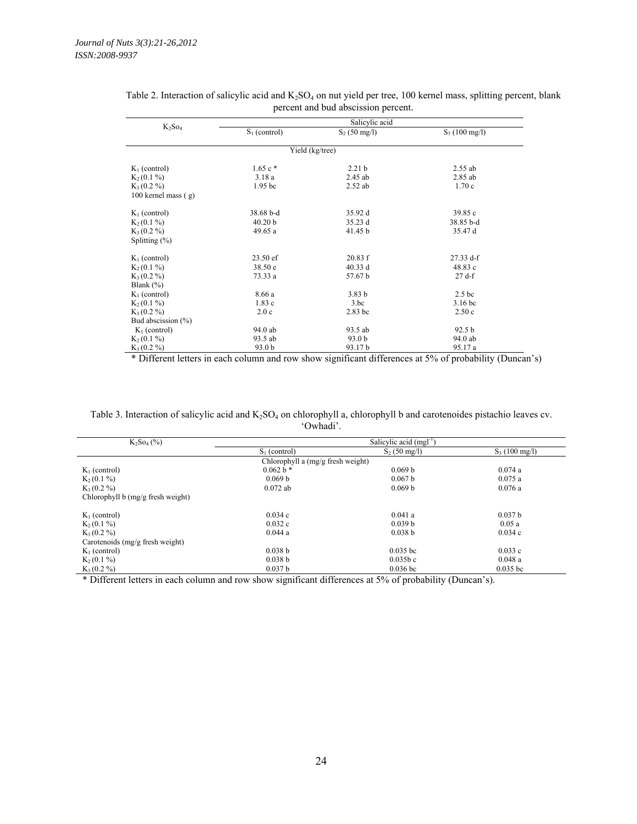| $K_2SO_4$              | Salicylic acid     |                   |                         |  |  |
|------------------------|--------------------|-------------------|-------------------------|--|--|
|                        | $S_1$ (control)    | $S_2$ (50 mg/l)   | $S_3(100 \text{ mg/l})$ |  |  |
|                        |                    |                   |                         |  |  |
|                        |                    | Yield (kg/tree)   |                         |  |  |
| $K_1$ (control)        | $1.65c*$           | 2.21 <sub>b</sub> | 2.55 ab                 |  |  |
| $K_2(0.1\%)$           | 3.18a              | 2.45 ab           | 2.85 ab                 |  |  |
| $K_3(0.2\%)$           | 1.95 <sub>bc</sub> | $2.52$ ab         | 1.70c                   |  |  |
| 100 kernel mass $(g)$  |                    |                   |                         |  |  |
|                        |                    |                   |                         |  |  |
| $K_1$ (control)        | 38.68 b-d          | 35.92 d           | 39.85c                  |  |  |
| $K_2(0.1\%)$           | 40.20 b            | 35.23 d           | 38.85 b-d               |  |  |
| $K_3(0.2\%)$           | 49.65a             | 41.45 b           | 35.47 d                 |  |  |
| Splitting $(\%)$       |                    |                   |                         |  |  |
|                        |                    |                   |                         |  |  |
| $K_1$ (control)        | $23.50 \text{ e}f$ | 20.83 f           | $27.33 d-f$             |  |  |
| $K_2(0.1\%)$           | 38.50 e            | 40.33 d           | 48.83 c                 |  |  |
| $K_3(0.2\%)$           | 73.33 a            | 57.67 b           | 27 df                   |  |  |
| Blank $(\% )$          |                    |                   |                         |  |  |
| $K_1$ (control)        | 8.66 a             | 3.83 <sub>b</sub> | 2.5 <sub>bc</sub>       |  |  |
| $K_2(0.1\%)$           | 1.83c              | 3.bc              | 3.16 <sub>bc</sub>      |  |  |
| $K_3(0.2\%)$           | 2.0c               | $2.83$ bc         | 2.50c                   |  |  |
| Bud abscission $(\% )$ |                    |                   |                         |  |  |
| $K_1$ (control)        | 94.0 ab            | 93.5 ab           | 92.5 <sub>b</sub>       |  |  |
| $K_2(0.1\%)$           | 93.5 ab            | 93.0 <sub>b</sub> | 94.0 ab                 |  |  |
| $K_3(0.2\%)$           | 93.0 b             | 93.17 b           | 95.17 a                 |  |  |

## Table 2. Interaction of salicylic acid and  $K_2SO_4$  on nut yield per tree, 100 kernel mass, splitting percent, blank percent and bud abscission percent.

\* Different letters in each column and row show significant differences at 5% of probability (Duncan's)

| Table 3. Interaction of salicylic acid and $K_2SO_4$ on chlorophyll a, chlorophyll b and carotenoides pistachio leaves cv. |
|----------------------------------------------------------------------------------------------------------------------------|
| 'Owhadi'                                                                                                                   |

| $K_2$ So <sub>4</sub> (%)         | Salicylic acid (mgl <sup>-1</sup> ) |                        |                         |  |
|-----------------------------------|-------------------------------------|------------------------|-------------------------|--|
|                                   | $S_1$ (control)                     | $S_2(50 \text{ mg/l})$ | $S_3(100 \text{ mg/l})$ |  |
|                                   | Chlorophyll a (mg/g fresh weight)   |                        |                         |  |
| $K_1$ (control)                   | $0.062 b*$                          | 0.069 b                | 0.074a                  |  |
| $K_2(0.1\%)$                      | 0.069 b                             | 0.067 <sub>b</sub>     | 0.075a                  |  |
| $K_3(0.2\%)$                      | $0.072$ ab                          | 0.069 b                | 0.076a                  |  |
| Chlorophyll b (mg/g fresh weight) |                                     |                        |                         |  |
| $K_1$ (control)                   | 0.034c                              | 0.041a                 | 0.037 <sub>b</sub>      |  |
| $K_2(0.1\%)$                      | 0.032c                              | 0.039 b                | 0.05a                   |  |
| $K_3(0.2\%)$                      | 0.044a                              | 0.038 b                | 0.034c                  |  |
| Carotenoids $(mg/g$ fresh weight) |                                     |                        |                         |  |
| $K_1$ (control)                   | 0.038 b                             | $0.035$ bc             | 0.033c                  |  |
| $K_2(0.1\%)$                      | 0.038 b                             | 0.035b c               | 0.048a                  |  |
| $K_3(0.2\%)$                      | 0.037 <sub>b</sub>                  | $0.036$ bc             | $0.035$ bc              |  |

\* Different letters in each column and row show significant differences at 5% of probability (Duncan's).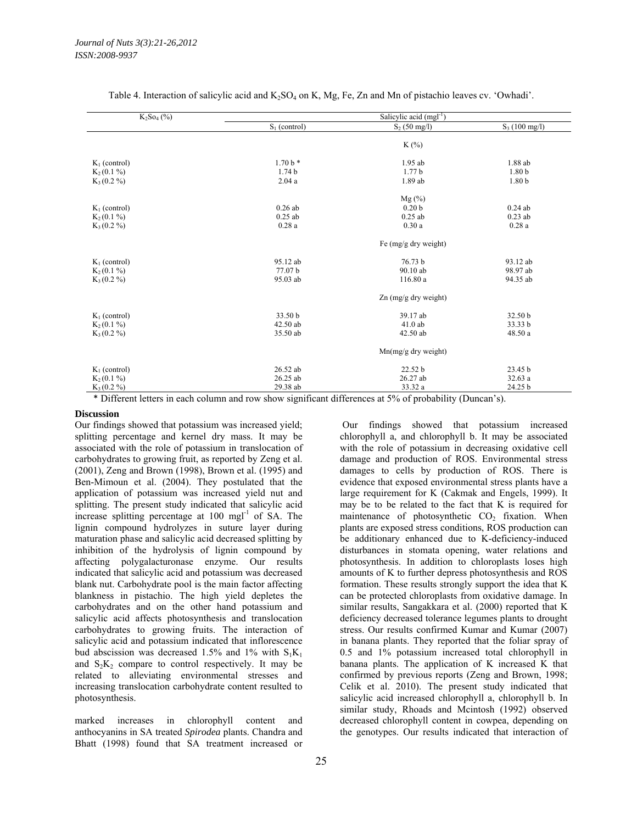| $K_2$ So <sub>4</sub> (%) | Salicylic acid (mgl <sup>-1</sup> ) |                        |                         |  |
|---------------------------|-------------------------------------|------------------------|-------------------------|--|
|                           | $S_1$ (control)                     | $S_2$ (50 mg/l)        | $S_3(100 \text{ mg/l})$ |  |
|                           |                                     |                        |                         |  |
|                           |                                     | $K(\%)$                |                         |  |
|                           |                                     |                        |                         |  |
| $K_1$ (control)           | $1.70 b*$                           | 1.95 ab                | 1.88 ab                 |  |
| $K_2(0.1\%)$              | 1.74 <sub>b</sub>                   | 1.77 <sub>b</sub>      | 1.80 <sub>b</sub>       |  |
| $K_3(0.2\%)$              | 2.04a                               | 1.89 ab                | 1.80 <sub>b</sub>       |  |
|                           |                                     | $Mg(\%)$               |                         |  |
| $K_1$ (control)           | $0.26$ ab                           | 0.20 <sub>b</sub>      | $0.24$ ab               |  |
| $K_2(0.1\%)$              | $0.25$ ab                           | $0.25$ ab              | $0.23$ ab               |  |
| $K_3(0.2\%)$              | 0.28a                               | 0.30a                  | 0.28a                   |  |
|                           |                                     |                        |                         |  |
|                           |                                     | Fe (mg/g dry weight)   |                         |  |
| $K_1$ (control)           | 95.12 ab                            | 76.73 b                | 93.12 ab                |  |
| $K_2(0.1\%)$              | 77.07 b                             | 90.10 ab               | 98.97 ab                |  |
| $K_3(0.2\%)$              | 95.03 ab                            | 116.80 a               | 94.35 ab                |  |
|                           |                                     |                        |                         |  |
|                           |                                     | $Zn$ (mg/g dry weight) |                         |  |
| $K_1$ (control)           | 33.50 b                             | 39.17 ab               | 32.50 b                 |  |
| $K_2(0.1\%)$              | 42.50 ab                            | $41.0$ ab              | 33.33 b                 |  |
| $K_3(0.2\%)$              | 35.50 ab                            | 42.50 ab               | 48.50 a                 |  |
|                           |                                     | $Mn(mg/g$ dry weight)  |                         |  |
|                           |                                     |                        |                         |  |
| $K_1$ (control)           | 26.52 ab                            | 22.52 b                | 23.45 b                 |  |
| $K_2(0.1\%)$              | 26.25 ab                            | 26.27 ab               | 32.63 a                 |  |
| $K_3(0.2\%)$              | 29.38 ab                            | 33.32 a                | 24.25 b                 |  |

Table 4. Interaction of salicylic acid and  $K_2SO_4$  on K, Mg, Fe, Zn and Mn of pistachio leaves cv. 'Owhadi'.

\* Different letters in each column and row show significant differences at 5% of probability (Duncan's).

#### **Discussion**

Our findings showed that potassium was increased yield; splitting percentage and kernel dry mass. It may be associated with the role of potassium in translocation of carbohydrates to growing fruit, as reported by Zeng et al. (2001), Zeng and Brown (1998), Brown et al. (1995) and Ben-Mimoun et al. (2004). They postulated that the application of potassium was increased yield nut and splitting. The present study indicated that salicylic acid increase splitting percentage at  $100$  mgl<sup>-1</sup> of SA. The lignin compound hydrolyzes in suture layer during maturation phase and salicylic acid decreased splitting by inhibition of the hydrolysis of lignin compound by affecting polygalacturonase enzyme. Our results indicated that salicylic acid and potassium was decreased blank nut. Carbohydrate pool is the main factor affecting blankness in pistachio. The high yield depletes the carbohydrates and on the other hand potassium and salicylic acid affects photosynthesis and translocation carbohydrates to growing fruits. The interaction of salicylic acid and potassium indicated that inflorescence bud abscission was decreased 1.5% and 1% with  $S_1K_1$ and  $S_2K_2$  compare to control respectively. It may be related to alleviating environmental stresses and increasing translocation carbohydrate content resulted to photosynthesis.

marked increases in chlorophyll content and anthocyanins in SA treated *Spirodea* plants. Chandra and Bhatt (1998) found that SA treatment increased or

25

 Our findings showed that potassium increased chlorophyll a, and chlorophyll b. It may be associated with the role of potassium in decreasing oxidative cell damage and production of ROS. Environmental stress damages to cells by production of ROS. There is evidence that exposed environmental stress plants have a large requirement for K (Cakmak and Engels, 1999). It may be to be related to the fact that K is required for maintenance of photosynthetic  $CO<sub>2</sub>$  fixation. When plants are exposed stress conditions, ROS production can be additionary enhanced due to K-deficiency-induced disturbances in stomata opening, water relations and photosynthesis. In addition to chloroplasts loses high amounts of K to further depress photosynthesis and ROS formation. These results strongly support the idea that K can be protected chloroplasts from oxidative damage. In similar results, Sangakkara et al. (2000) reported that K deficiency decreased tolerance legumes plants to drought stress. Our results confirmed Kumar and Kumar (2007) in banana plants. They reported that the foliar spray of 0.5 and 1% potassium increased total chlorophyll in banana plants. The application of K increased K that confirmed by previous reports (Zeng and Brown, 1998; Celik et al. 2010). The present study indicated that salicylic acid increased chlorophyll a, chlorophyll b. In similar study, Rhoads and Mcintosh (1992) observed decreased chlorophyll content in cowpea, depending on the genotypes. Our results indicated that interaction of